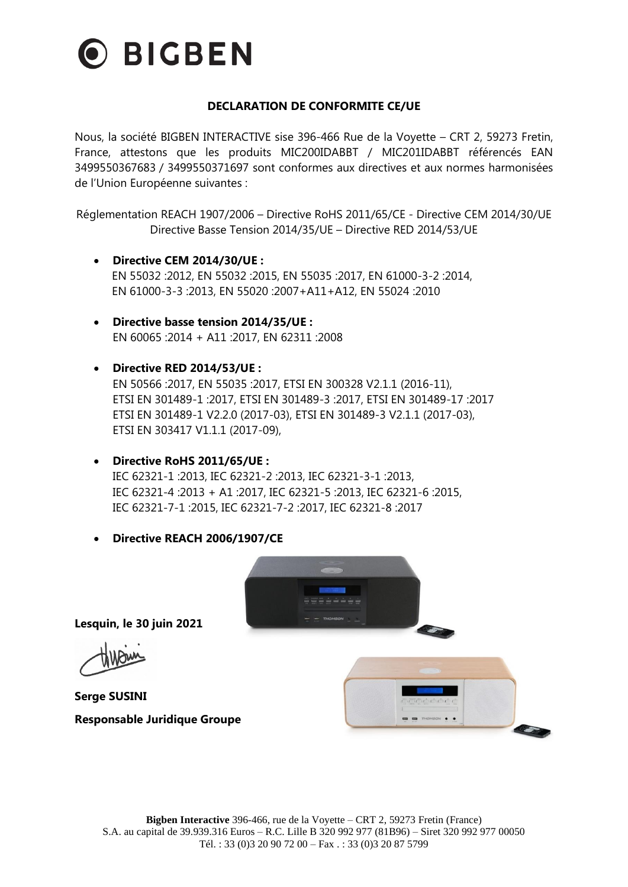

#### **DECLARATION DE CONFORMITE CE/UE**

Nous, la société BIGBEN INTERACTIVE sise 396-466 Rue de la Voyette – CRT 2, 59273 Fretin, France, attestons que les produits MIC200IDABBT / MIC201IDABBT référencés EAN 3499550367683 / 3499550371697 sont conformes aux directives et aux normes harmonisées de l'Union Européenne suivantes :

Réglementation REACH 1907/2006 – Directive RoHS 2011/65/CE - Directive CEM 2014/30/UE Directive Basse Tension 2014/35/UE – Directive RED 2014/53/UE

- **Directive CEM 2014/30/UE :** EN 55032 :2012, EN 55032 :2015, EN 55035 :2017, EN 61000-3-2 :2014, EN 61000-3-3 :2013, EN 55020 :2007+A11+A12, EN 55024 :2010
- **Directive basse tension 2014/35/UE :** EN 60065 :2014 + A11 :2017, EN 62311 :2008
- **Directive RED 2014/53/UE :** EN 50566 :2017, EN 55035 :2017, ETSI EN 300328 V2.1.1 (2016-11), ETSI EN 301489-1 :2017, ETSI EN 301489-3 :2017, ETSI EN 301489-17 :2017 ETSI EN 301489-1 V2.2.0 (2017-03), ETSI EN 301489-3 V2.1.1 (2017-03), ETSI EN 303417 V1.1.1 (2017-09),
- **Directive RoHS 2011/65/UE :** IEC 62321-1 :2013, IEC 62321-2 :2013, IEC 62321-3-1 :2013, IEC 62321-4 :2013 + A1 :2017, IEC 62321-5 :2013, IEC 62321-6 :2015, IEC 62321-7-1 :2015, IEC 62321-7-2 :2017, IEC 62321-8 :2017
- **Directive REACH 2006/1907/CE**



**Lesquin, le 30 juin 2021**

**Serge SUSINI Responsable Juridique Groupe**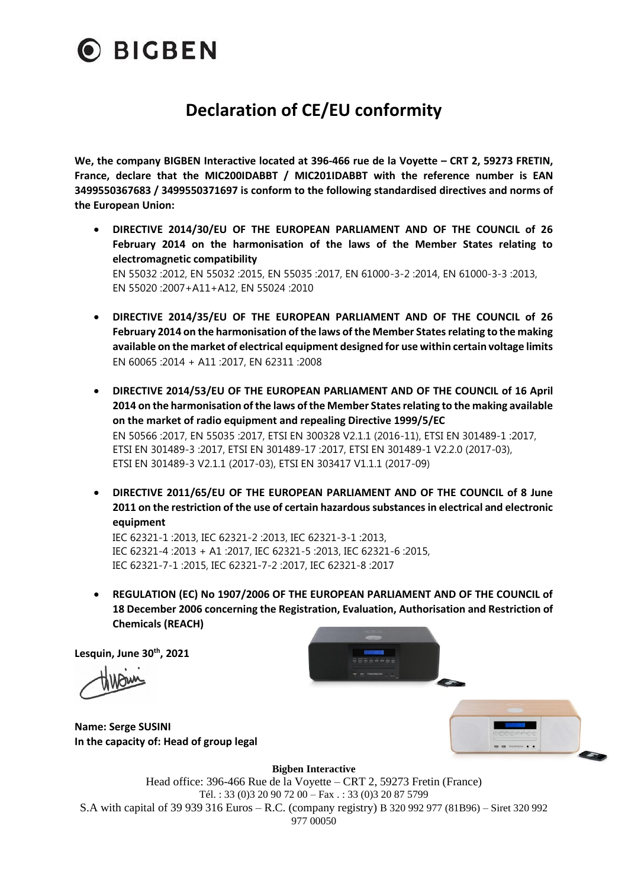

# **Declaration of CE/EU conformity**

**We, the company BIGBEN Interactive located at 396-466 rue de la Voyette – CRT 2, 59273 FRETIN, France, declare that the MIC200IDABBT / MIC201IDABBT with the reference number is EAN 3499550367683 / 3499550371697 is conform to the following standardised directives and norms of the European Union:**

- **DIRECTIVE 2014/30/EU OF THE EUROPEAN PARLIAMENT AND OF THE COUNCIL of 26 February 2014 on the harmonisation of the laws of the Member States relating to electromagnetic compatibility** EN 55032 :2012, EN 55032 :2015, EN 55035 :2017, EN 61000-3-2 :2014, EN 61000-3-3 :2013, EN 55020 :2007+A11+A12, EN 55024 :2010
- **DIRECTIVE 2014/35/EU OF THE EUROPEAN PARLIAMENT AND OF THE COUNCIL of 26 February 2014 on the harmonisation of the laws of the Member States relating to the making available on the market of electrical equipment designed for use within certain voltage limits** EN 60065 :2014 + A11 :2017, EN 62311 :2008
- **DIRECTIVE 2014/53/EU OF THE EUROPEAN PARLIAMENT AND OF THE COUNCIL of 16 April 2014 on the harmonisation of the laws of the Member States relating to the making available on the market of radio equipment and repealing Directive 1999/5/EC** EN 50566 :2017, EN 55035 :2017, ETSI EN 300328 V2.1.1 (2016-11), ETSI EN 301489-1 :2017, ETSI EN 301489-3 :2017, ETSI EN 301489-17 :2017, ETSI EN 301489-1 V2.2.0 (2017-03), ETSI EN 301489-3 V2.1.1 (2017-03), ETSI EN 303417 V1.1.1 (2017-09)
- **DIRECTIVE 2011/65/EU OF THE EUROPEAN PARLIAMENT AND OF THE COUNCIL of 8 June 2011 on the restriction of the use of certain hazardous substances in electrical and electronic equipment**

IEC 62321-1 :2013, IEC 62321-2 :2013, IEC 62321-3-1 :2013, IEC 62321-4 :2013 + A1 :2017, IEC 62321-5 :2013, IEC 62321-6 :2015, IEC 62321-7-1 :2015, IEC 62321-7-2 :2017, IEC 62321-8 :2017

• **REGULATION (EC) No 1907/2006 OF THE EUROPEAN PARLIAMENT AND OF THE COUNCIL of 18 December 2006 concerning the Registration, Evaluation, Authorisation and Restriction of Chemicals (REACH)**

**Lesquin, June 30th , 2021**



**Name: Serge SUSINI In the capacity of: Head of group legal**



**Bigben Interactive**

Head office: 396-466 Rue de la Voyette – CRT 2, 59273 Fretin (France) Tél. : 33 (0)3 20 90 72 00 – Fax . : 33 (0)3 20 87 5799 S.A with capital of 39 939 316 Euros – R.C. (company registry) B 320 992 977 (81B96) – Siret 320 992 977 00050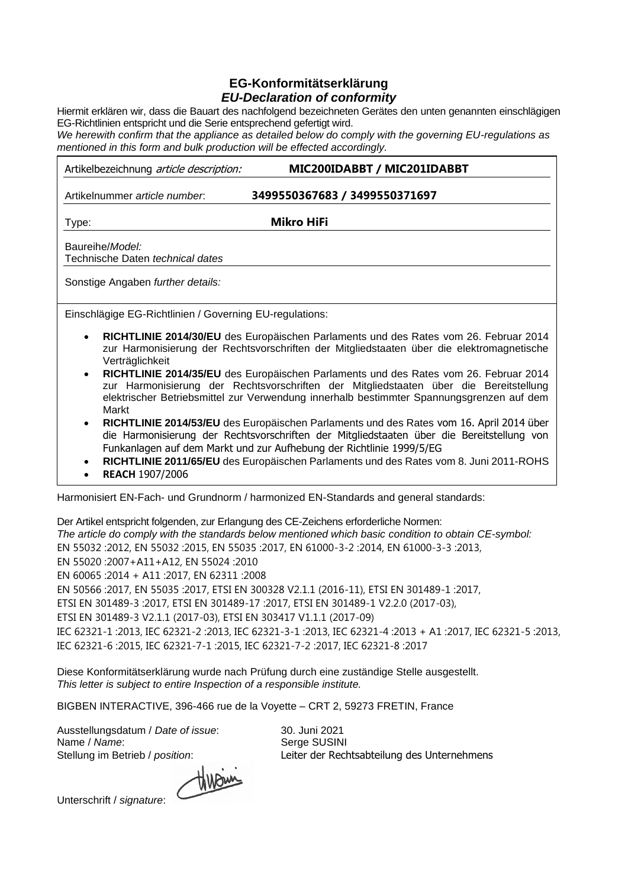#### **EG-Konformitätserklärung** *EU-Declaration of conformity*

Hiermit erklären wir, dass die Bauart des nachfolgend bezeichneten Gerätes den unten genannten einschlägigen EG-Richtlinien entspricht und die Serie entsprechend gefertigt wird.

*We herewith confirm that the appliance as detailed below do comply with the governing EU-regulations as mentioned in this form and bulk production will be effected accordingly.*

| Artikelbezeichnung article description: | MIC200IDABBT / MIC201IDABBT   |  |
|-----------------------------------------|-------------------------------|--|
| Artikelnummer article number.           | 3499550367683 / 3499550371697 |  |
| Type:                                   | Mikro HiFi                    |  |
| Baureihe/ <i>Model</i>                  |                               |  |

Technische Daten *technical dates*

Sonstige Angaben *further details:*

Einschlägige EG-Richtlinien / Governing EU-regulations:

- **RICHTLINIE 2014/30/EU** des Europäischen Parlaments und des Rates vom 26. Februar 2014 zur Harmonisierung der Rechtsvorschriften der Mitgliedstaaten über die elektromagnetische **Verträglichkeit**
- **RICHTLINIE 2014/35/EU** des Europäischen Parlaments und des Rates vom 26. Februar 2014 zur Harmonisierung der Rechtsvorschriften der Mitgliedstaaten über die Bereitstellung elektrischer Betriebsmittel zur Verwendung innerhalb bestimmter Spannungsgrenzen auf dem Markt
- **RICHTLINIE 2014/53/EU** des Europäischen Parlaments und des Rates vom 16. April 2014 über die Harmonisierung der Rechtsvorschriften der Mitgliedstaaten über die Bereitstellung von Funkanlagen auf dem Markt und zur Aufhebung der Richtlinie 1999/5/EG

• **RICHTLINIE 2011/65/EU** des Europäischen Parlaments und des Rates vom 8. Juni 2011-ROHS

• **REACH** 1907/2006

Harmonisiert EN-Fach- und Grundnorm / harmonized EN-Standards and general standards:

Der Artikel entspricht folgenden, zur Erlangung des CE-Zeichens erforderliche Normen: *The article do comply with the standards below mentioned which basic condition to obtain CE-symbol:* EN 55032 :2012, EN 55032 :2015, EN 55035 :2017, EN 61000-3-2 :2014, EN 61000-3-3 :2013, EN 55020 :2007+A11+A12, EN 55024 :2010 EN 60065 :2014 + A11 :2017, EN 62311 :2008 EN 50566 :2017, EN 55035 :2017, ETSI EN 300328 V2.1.1 (2016-11), ETSI EN 301489-1 :2017, ETSI EN 301489-3 :2017, ETSI EN 301489-17 :2017, ETSI EN 301489-1 V2.2.0 (2017-03), ETSI EN 301489-3 V2.1.1 (2017-03), ETSI EN 303417 V1.1.1 (2017-09) IEC 62321-1 :2013, IEC 62321-2 :2013, IEC 62321-3-1 :2013, IEC 62321-4 :2013 + A1 :2017, IEC 62321-5 :2013, IEC 62321-6 :2015, IEC 62321-7-1 :2015, IEC 62321-7-2 :2017, IEC 62321-8 :2017

Diese Konformitätserklärung wurde nach Prüfung durch eine zuständige Stelle ausgestellt. *This letter is subject to entire Inspection of a responsible institute.*

BIGBEN INTERACTIVE, 396-466 rue de la Voyette – CRT 2, 59273 FRETIN, France

Ausstellungsdatum / *Date of issue*: 30. Juni 2021 Name / Name: Serge SUSINI

Stellung im Betrieb / *position*: Leiter der Rechtsabteilung des Unternehmens

thrown

Unterschrift / *signature*: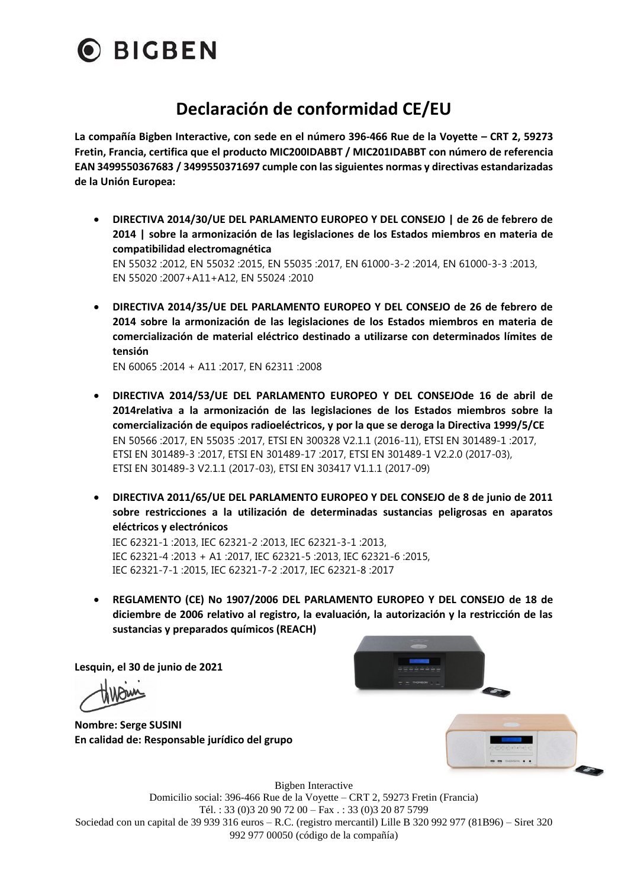

## **Declaración de conformidad CE/EU**

**La compañía Bigben Interactive, con sede en el número 396-466 Rue de la Voyette – CRT 2, 59273 Fretin, Francia, certifica que el producto MIC200IDABBT / MIC201IDABBT con número de referencia EAN 3499550367683 / 3499550371697 cumple con las siguientes normas y directivas estandarizadas de la Unión Europea:**

- **DIRECTIVA 2014/30/UE DEL PARLAMENTO EUROPEO Y DEL CONSEJO | de 26 de febrero de 2014 | sobre la armonización de las legislaciones de los Estados miembros en materia de compatibilidad electromagnética** EN 55032 :2012, EN 55032 :2015, EN 55035 :2017, EN 61000-3-2 :2014, EN 61000-3-3 :2013, EN 55020 :2007+A11+A12, EN 55024 :2010
- **DIRECTIVA 2014/35/UE DEL PARLAMENTO EUROPEO Y DEL CONSEJO de 26 de febrero de 2014 sobre la armonización de las legislaciones de los Estados miembros en materia de comercialización de material eléctrico destinado a utilizarse con determinados límites de tensión**

EN 60065 :2014 + A11 :2017, EN 62311 :2008

- **DIRECTIVA 2014/53/UE DEL PARLAMENTO EUROPEO Y DEL CONSEJOde 16 de abril de 2014relativa a la armonización de las legislaciones de los Estados miembros sobre la comercialización de equipos radioeléctricos, y por la que se deroga la Directiva 1999/5/CE** EN 50566 :2017, EN 55035 :2017, ETSI EN 300328 V2.1.1 (2016-11), ETSI EN 301489-1 :2017, ETSI EN 301489-3 :2017, ETSI EN 301489-17 :2017, ETSI EN 301489-1 V2.2.0 (2017-03), ETSI EN 301489-3 V2.1.1 (2017-03), ETSI EN 303417 V1.1.1 (2017-09)
- **DIRECTIVA 2011/65/UE DEL PARLAMENTO EUROPEO Y DEL CONSEJO de 8 de junio de 2011 sobre restricciones a la utilización de determinadas sustancias peligrosas en aparatos eléctricos y electrónicos**

IEC 62321-1 :2013, IEC 62321-2 :2013, IEC 62321-3-1 :2013, IEC 62321-4 :2013 + A1 :2017, IEC 62321-5 :2013, IEC 62321-6 :2015, IEC 62321-7-1 :2015, IEC 62321-7-2 :2017, IEC 62321-8 :2017

• **REGLAMENTO (CE) No 1907/2006 DEL PARLAMENTO EUROPEO Y DEL CONSEJO de 18 de diciembre de 2006 relativo al registro, la evaluación, la autorización y la restricción de las sustancias y preparados químicos (REACH)** 

**Lesquin, el 30 de junio de 2021**

**Nombre: Serge SUSINI En calidad de: Responsable jurídico del grupo**





Bigben Interactive Domicilio social: 396-466 Rue de la Voyette – CRT 2, 59273 Fretin (Francia) Tél. : 33 (0)3 20 90 72 00 – Fax . : 33 (0)3 20 87 5799 Sociedad con un capital de 39 939 316 euros – R.C. (registro mercantil) Lille B 320 992 977 (81B96) – Siret 320 992 977 00050 (código de la compañía)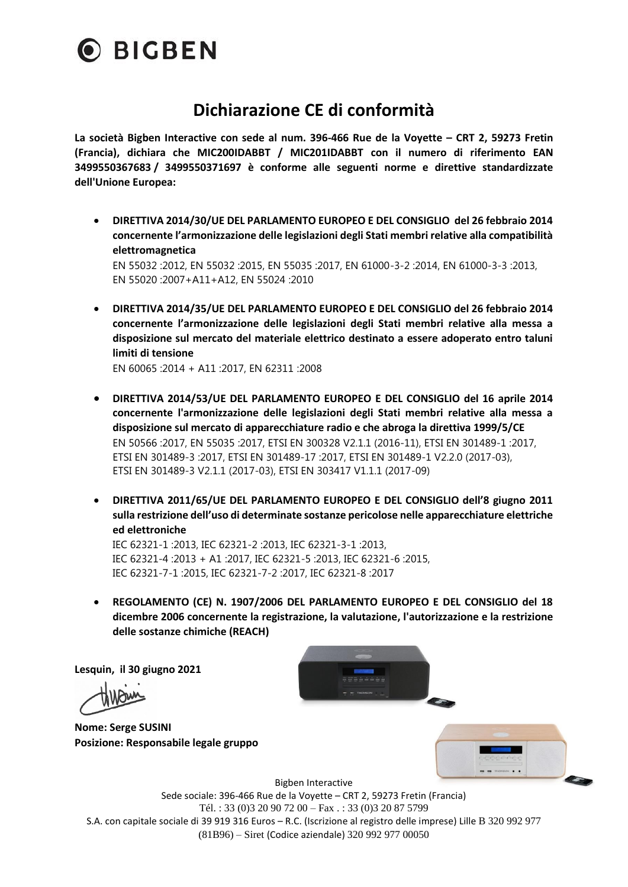

## **Dichiarazione CE di conformità**

**La società Bigben Interactive con sede al num. 396-466 Rue de la Voyette – CRT 2, 59273 Fretin (Francia), dichiara che MIC200IDABBT / MIC201IDABBT con il numero di riferimento EAN 3499550367683 / 3499550371697 è conforme alle seguenti norme e direttive standardizzate dell'Unione Europea:**

• **DIRETTIVA 2014/30/UE DEL PARLAMENTO EUROPEO E DEL CONSIGLIO del 26 febbraio 2014 concernente l'armonizzazione delle legislazioni degli Stati membri relative alla compatibilità elettromagnetica**

EN 55032 :2012, EN 55032 :2015, EN 55035 :2017, EN 61000-3-2 :2014, EN 61000-3-3 :2013, EN 55020 :2007+A11+A12, EN 55024 :2010

• **DIRETTIVA 2014/35/UE DEL PARLAMENTO EUROPEO E DEL CONSIGLIO del 26 febbraio 2014 concernente l'armonizzazione delle legislazioni degli Stati membri relative alla messa a disposizione sul mercato del materiale elettrico destinato a essere adoperato entro taluni limiti di tensione**

EN 60065 :2014 + A11 :2017, EN 62311 :2008

- **DIRETTIVA 2014/53/UE DEL PARLAMENTO EUROPEO E DEL CONSIGLIO del 16 aprile 2014 concernente l'armonizzazione delle legislazioni degli Stati membri relative alla messa a disposizione sul mercato di apparecchiature radio e che abroga la direttiva 1999/5/CE** EN 50566 :2017, EN 55035 :2017, ETSI EN 300328 V2.1.1 (2016-11), ETSI EN 301489-1 :2017, ETSI EN 301489-3 :2017, ETSI EN 301489-17 :2017, ETSI EN 301489-1 V2.2.0 (2017-03), ETSI EN 301489-3 V2.1.1 (2017-03), ETSI EN 303417 V1.1.1 (2017-09)
- **DIRETTIVA 2011/65/UE DEL PARLAMENTO EUROPEO E DEL CONSIGLIO dell'8 giugno 2011 sulla restrizione dell'uso di determinate sostanze pericolose nelle apparecchiature elettriche ed elettroniche**

IEC 62321-1 :2013, IEC 62321-2 :2013, IEC 62321-3-1 :2013, IEC 62321-4 :2013 + A1 :2017, IEC 62321-5 :2013, IEC 62321-6 :2015, IEC 62321-7-1 :2015, IEC 62321-7-2 :2017, IEC 62321-8 :2017

• **REGOLAMENTO (CE) N. 1907/2006 DEL PARLAMENTO EUROPEO E DEL CONSIGLIO del 18 dicembre 2006 concernente la registrazione, la valutazione, l'autorizzazione e la restrizione delle sostanze chimiche (REACH)**

**Lesquin, il 30 giugno 2021**

**Nome: Serge SUSINI Posizione: Responsabile legale gruppo**





Bigben Interactive

Sede sociale: 396-466 Rue de la Voyette – CRT 2, 59273 Fretin (Francia) Tél. : 33 (0)3 20 90 72 00 – Fax . : 33 (0)3 20 87 5799 S.A. con capitale sociale di 39 919 316 Euros – R.C. (Iscrizione al registro delle imprese) Lille B 320 992 977 (81B96) – Siret (Codice aziendale) 320 992 977 00050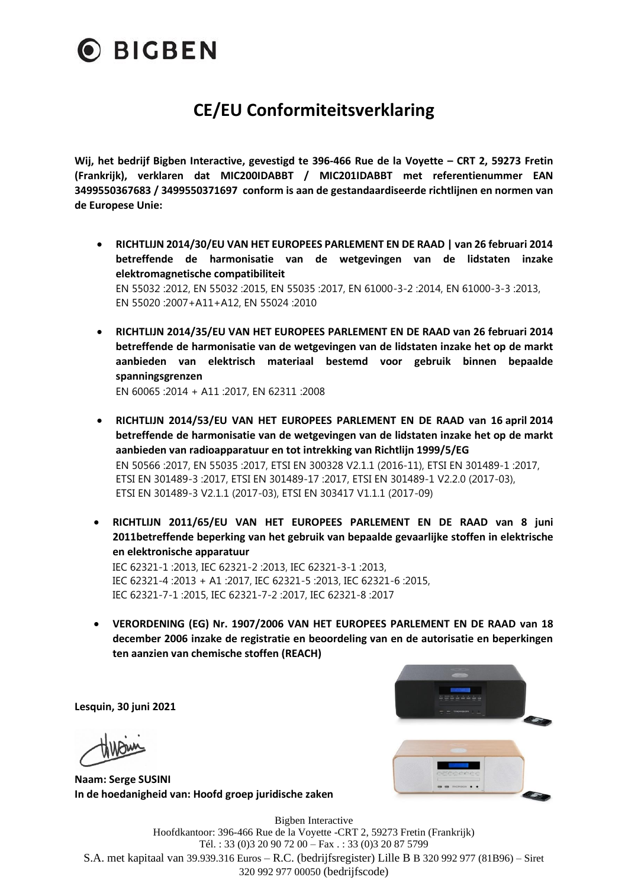

# **CE/EU Conformiteitsverklaring**

**Wij, het bedrijf Bigben Interactive, gevestigd te 396-466 Rue de la Voyette – CRT 2, 59273 Fretin (Frankrijk), verklaren dat MIC200IDABBT / MIC201IDABBT met referentienummer EAN 3499550367683 / 3499550371697 conform is aan de gestandaardiseerde richtlijnen en normen van de Europese Unie:**

- **RICHTLIJN 2014/30/EU VAN HET EUROPEES PARLEMENT EN DE RAAD | van 26 februari 2014 betreffende de harmonisatie van de wetgevingen van de lidstaten inzake elektromagnetische compatibiliteit** EN 55032 :2012, EN 55032 :2015, EN 55035 :2017, EN 61000-3-2 :2014, EN 61000-3-3 :2013, EN 55020 :2007+A11+A12, EN 55024 :2010
- **RICHTLIJN 2014/35/EU VAN HET EUROPEES PARLEMENT EN DE RAAD van 26 februari 2014 betreffende de harmonisatie van de wetgevingen van de lidstaten inzake het op de markt aanbieden van elektrisch materiaal bestemd voor gebruik binnen bepaalde spanningsgrenzen**

EN 60065 :2014 + A11 :2017, EN 62311 :2008

- **RICHTLIJN 2014/53/EU VAN HET EUROPEES PARLEMENT EN DE RAAD van 16 april 2014 betreffende de harmonisatie van de wetgevingen van de lidstaten inzake het op de markt aanbieden van radioapparatuur en tot intrekking van Richtlijn 1999/5/EG** EN 50566 :2017, EN 55035 :2017, ETSI EN 300328 V2.1.1 (2016-11), ETSI EN 301489-1 :2017, ETSI EN 301489-3 :2017, ETSI EN 301489-17 :2017, ETSI EN 301489-1 V2.2.0 (2017-03), ETSI EN 301489-3 V2.1.1 (2017-03), ETSI EN 303417 V1.1.1 (2017-09)
- **RICHTLIJN 2011/65/EU VAN HET EUROPEES PARLEMENT EN DE RAAD van 8 juni 2011betreffende beperking van het gebruik van bepaalde gevaarlijke stoffen in elektrische en elektronische apparatuur** IEC 62321-1 :2013, IEC 62321-2 :2013, IEC 62321-3-1 :2013,

IEC 62321-4 :2013 + A1 :2017, IEC 62321-5 :2013, IEC 62321-6 :2015, IEC 62321-7-1 :2015, IEC 62321-7-2 :2017, IEC 62321-8 :2017

• **VERORDENING (EG) Nr. 1907/2006 VAN HET EUROPEES PARLEMENT EN DE RAAD van 18 december 2006 inzake de registratie en beoordeling van en de autorisatie en beperkingen ten aanzien van chemische stoffen (REACH)**

**Lesquin, 30 juni 2021**

**Naam: Serge SUSINI In de hoedanigheid van: Hoofd groep juridische zaken**



Bigben Interactive Hoofdkantoor: 396-466 Rue de la Voyette -CRT 2, 59273 Fretin (Frankrijk) Tél. : 33 (0)3 20 90 72 00 – Fax . : 33 (0)3 20 87 5799 S.A. met kapitaal van 39.939.316 Euros – R.C. (bedrijfsregister) Lille B B 320 992 977 (81B96) – Siret 320 992 977 00050 (bedrijfscode)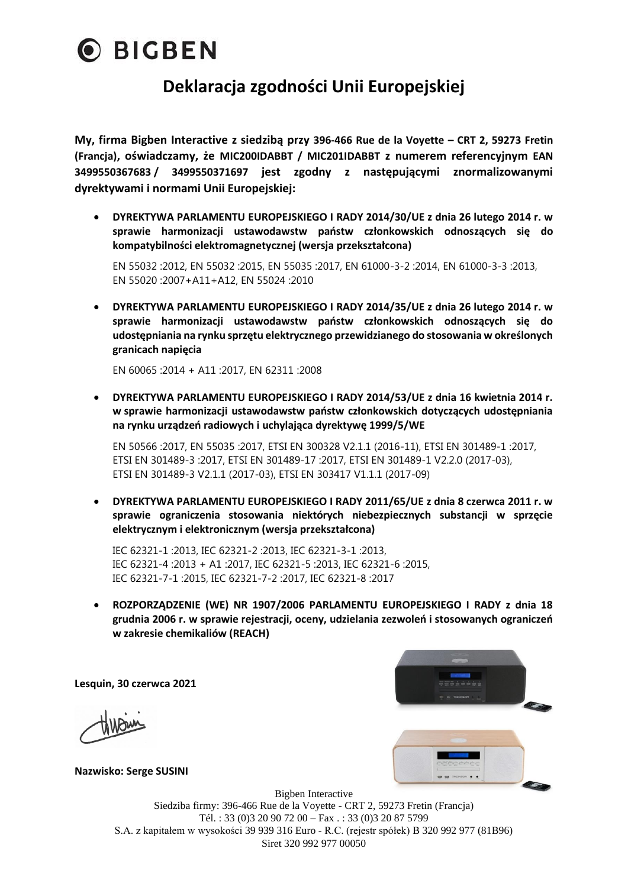

### **Deklaracja zgodności Unii Europejskiej**

**My, firma Bigben Interactive z siedzibą przy 396-466 Rue de la Voyette – CRT 2, 59273 Fretin (Francja), oświadczamy, że MIC200IDABBT / MIC201IDABBT z numerem referencyjnym EAN 3499550367683 / 3499550371697 jest zgodny z następującymi znormalizowanymi dyrektywami i normami Unii Europejskiej:**

• **DYREKTYWA PARLAMENTU EUROPEJSKIEGO I RADY 2014/30/UE z dnia 26 lutego 2014 r. w sprawie harmonizacji ustawodawstw państw członkowskich odnoszących się do kompatybilności elektromagnetycznej (wersja przekształcona)**

EN 55032 :2012, EN 55032 :2015, EN 55035 :2017, EN 61000-3-2 :2014, EN 61000-3-3 :2013, EN 55020 :2007+A11+A12, EN 55024 :2010

• **DYREKTYWA PARLAMENTU EUROPEJSKIEGO I RADY 2014/35/UE z dnia 26 lutego 2014 r. w sprawie harmonizacji ustawodawstw państw członkowskich odnoszących się do udostępniania na rynku sprzętu elektrycznego przewidzianego do stosowania w określonych granicach napięcia**

EN 60065 :2014 + A11 :2017, EN 62311 :2008

• **DYREKTYWA PARLAMENTU EUROPEJSKIEGO I RADY 2014/53/UE z dnia 16 kwietnia 2014 r. w sprawie harmonizacji ustawodawstw państw członkowskich dotyczących udostępniania na rynku urządzeń radiowych i uchylająca dyrektywę 1999/5/WE**

EN 50566 :2017, EN 55035 :2017, ETSI EN 300328 V2.1.1 (2016-11), ETSI EN 301489-1 :2017, ETSI EN 301489-3 :2017, ETSI EN 301489-17 :2017, ETSI EN 301489-1 V2.2.0 (2017-03), ETSI EN 301489-3 V2.1.1 (2017-03), ETSI EN 303417 V1.1.1 (2017-09)

• **DYREKTYWA PARLAMENTU EUROPEJSKIEGO I RADY 2011/65/UE z dnia 8 czerwca 2011 r. w sprawie ograniczenia stosowania niektórych niebezpiecznych substancji w sprzęcie elektrycznym i elektronicznym (wersja przekształcona)**

IEC 62321-1 :2013, IEC 62321-2 :2013, IEC 62321-3-1 :2013, IEC 62321-4 :2013 + A1 :2017, IEC 62321-5 :2013, IEC 62321-6 :2015, IEC 62321-7-1 :2015, IEC 62321-7-2 :2017, IEC 62321-8 :2017

• **ROZPORZĄDZENIE (WE) NR 1907/2006 PARLAMENTU EUROPEJSKIEGO I RADY z dnia 18 grudnia 2006 r. w sprawie rejestracji, oceny, udzielania zezwoleń i stosowanych ograniczeń w zakresie chemikaliów (REACH)**

**Lesquin, 30 czerwca 2021**

 $\frac{1}{2}$ 

**Nazwisko: Serge SUSINI**

Bigben Interactive Siedziba firmy: 396-466 Rue de la Voyette - CRT 2, 59273 Fretin (Francja) Tél. : 33 (0)3 20 90 72 00 – Fax . : 33 (0)3 20 87 5799 S.A. z kapitałem w wysokości 39 939 316 Euro - R.C. (rejestr spółek) B 320 992 977 (81B96) Siret 320 992 977 00050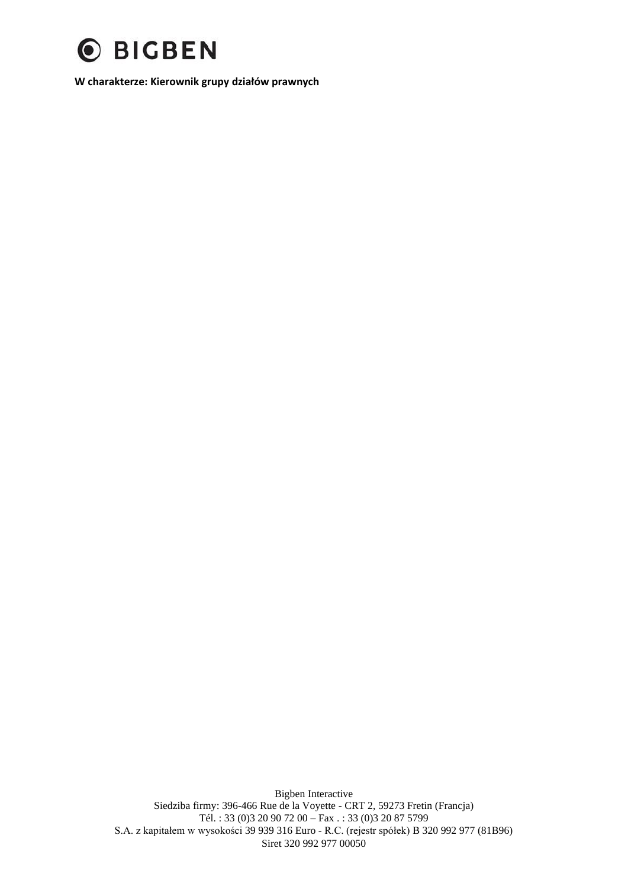

**W charakterze: Kierownik grupy działów prawnych**

Bigben Interactive Siedziba firmy: 396-466 Rue de la Voyette - CRT 2, 59273 Fretin (Francja) Tél. : 33 (0)3 20 90 72 00 – Fax . : 33 (0)3 20 87 5799 S.A. z kapitałem w wysokości 39 939 316 Euro - R.C. (rejestr spółek) B 320 992 977 (81B96) Siret 320 992 977 00050